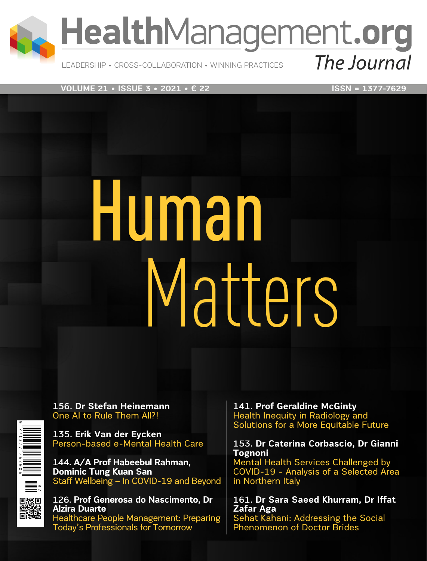

# HealthManagement.org

LEADERSHIP • CROSS-COLLABORATION • WINNING PRACTICES

**VOLUME 21 • ISSUE 3 • 2021 • € 22** ISSN = 1377-7629

The Journal

# Human Matters

156. **Dr Stefan Heinemann** One AI to Rule Them All?!

135. **Erik Van der Eycken** Person-based e-Mental Health Care

144. **A/A Prof Habeebul Rahman, Dominic Tung Kuan San** Staff Wellbeing – In COVID-19 and Beyond

126. **Prof Generosa do Nascimento, Dr Alzira Duarte** Healthcare People Management: Preparing

Today's Professionals for Tomorrow

141. **Prof Geraldine McGinty** Health Inequity in Radiology and Solutions for a More Equitable Future

# 153. **Dr Caterina Corbascio, Dr Gianni Tognoni**

Mental Health Services Challenged by COVID-19 - Analysis of a Selected Area in Northern Italy

161. **Dr Sara Saeed Khurram, Dr Iffat Zafar Aga**  Sehat Kahani: Addressing the Social Phenomenon of Doctor Brides

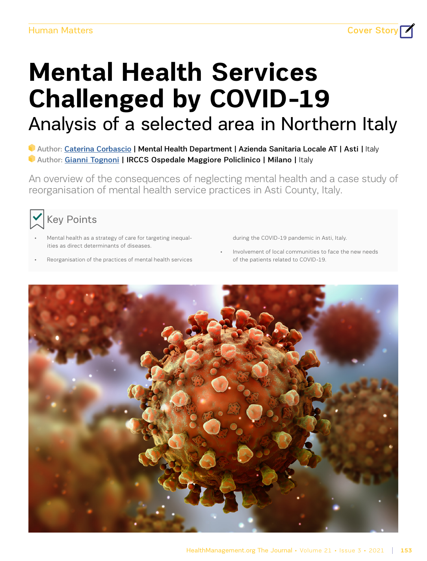

# **Mental Health Services Challenged by COVID-19** Analysis of a selected area in Northern Italy

 Author: [Caterina Corbascio](https://healthmanagement.org/viewProfile/123661/Caterina_Corbascio) | Mental Health Department | Azienda Sanitaria Locale AT | Asti | Italy Author: [Gianni Tognoni](https://healthmanagement.org/viewProfile/123662/Gianni_Tognoni) | IRCCS Ospedale Maggiore Policlinico | Milano | Italy

An overview of the consequences of neglecting mental health and a case study of reorganisation of mental health service practices in Asti County, Italy.



# Key Points

• Mental health as a strategy of care for targeting inequalities as direct determinants of diseases.

during the COVID-19 pandemic in Asti, Italy.

- Reorganisation of the practices of mental health services
- Involvement of local communities to face the new needs of the patients related to COVID-19.

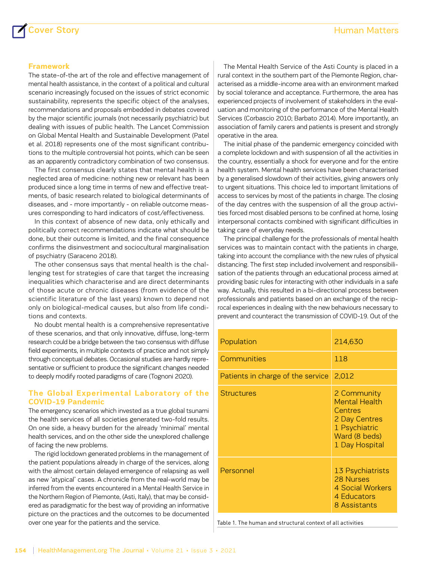Cover Story

### **Framework**

The state-of-the art of the role and effective management of mental health assistance, in the context of a political and cultural scenario increasingly focused on the issues of strict economic sustainability, represents the specific object of the analyses, recommendations and proposals embedded in debates covered by the major scientific journals (not necessarily psychiatric) but dealing with issues of public health. The Lancet Commission on Global Mental Health and Sustainable Development (Patel et al. 2018) represents one of the most significant contributions to the multiple controversial hot points, which can be seen as an apparently contradictory combination of two consensus.

The first consensus clearly states that mental health is a neglected area of medicine: nothing new or relevant has been produced since a long time in terms of new and effective treatments, of basic research related to biological determinants of diseases, and - more importantly - on reliable outcome measures corresponding to hard indicators of cost/effectiveness.

In this context of absence of new data, only ethically and politically correct recommendations indicate what should be done, but their outcome is limited, and the final consequence confirms the disinvestment and sociocultural marginalisation of psychiatry (Saraceno 2018).

The other consensus says that mental health is the challenging test for strategies of care that target the increasing inequalities which characterise and are direct determinants of those acute or chronic diseases (from evidence of the scientific literature of the last years) known to depend not only on biological-medical causes, but also from life conditions and contexts.

No doubt mental health is a comprehensive representative of these scenarios, and that only innovative, diffuse, long-term research could be a bridge between the two consensus with diffuse field experiments, in multiple contexts of practice and not simply through conceptual debates. Occasional studies are hardly representative or sufficient to produce the significant changes needed to deeply modify rooted paradigms of care (Tognoni 2020).

## **The Global Experimental Laboratory of the COVID-19 Pandemic**

The emergency scenarios which invested as a true global tsunami the health services of all societies generated two-fold results. On one side, a heavy burden for the already 'minimal' mental health services, and on the other side the unexplored challenge of facing the new problems.

The rigid lockdown generated problems in the management of the patient populations already in charge of the services, along with the almost certain delayed emergence of relapsing as well as new 'atypical' cases. A chronicle from the real-world may be inferred from the events encountered in a Mental Health Service in the Northern Region of Piemonte, (Asti, Italy), that may be considered as paradigmatic for the best way of providing an informative picture on the practices and the outcomes to be documented over one year for the patients and the service.

The Mental Health Service of the Asti County is placed in a rural context in the southern part of the Piemonte Region, characterised as a middle-income area with an environment marked by social tolerance and acceptance. Furthermore, the area has experienced projects of involvement of stakeholders in the evaluation and monitoring of the performance of the Mental Health Services (Corbascio 2010; Barbato 2014). More importantly, an association of family carers and patients is present and strongly operative in the area.

The initial phase of the pandemic emergency coincided with a complete lockdown and with suspension of all the activities in the country, essentially a shock for everyone and for the entire health system. Mental health services have been characterised by a generalised slowdown of their activities, giving answers only to urgent situations. This choice led to important limitations of access to services by most of the patients in charge. The closing of the day centres with the suspension of all the group activities forced most disabled persons to be confined at home, losing interpersonal contacts combined with significant difficulties in taking care of everyday needs.

The principal challenge for the professionals of mental health services was to maintain contact with the patients in charge, taking into account the compliance with the new rules of physical distancing. The first step included involvement and responsibilisation of the patients through an educational process aimed at providing basic rules for interacting with other individuals in a safe way. Actually, this resulted in a bi-directional process between professionals and patients based on an exchange of the reciprocal experiences in dealing with the new behaviours necessary to prevent and counteract the transmission of COVID-19. Out of the

| Population                        | 214,630                                                                                                             |
|-----------------------------------|---------------------------------------------------------------------------------------------------------------------|
| Communities                       | 118                                                                                                                 |
| Patients in charge of the service | 2,012                                                                                                               |
| <b>Structures</b>                 | 2 Community<br><b>Mental Health</b><br>Centres<br>2 Day Centres<br>1 Psychiatric<br>Ward (8 beds)<br>1 Day Hospital |
| Personnel                         | <b>13 Psychiatrists</b><br><b>28 Nurses</b><br><b>4 Social Workers</b><br>4 Educators<br>8 Assistants               |

Table 1. The human and structural context of all activities